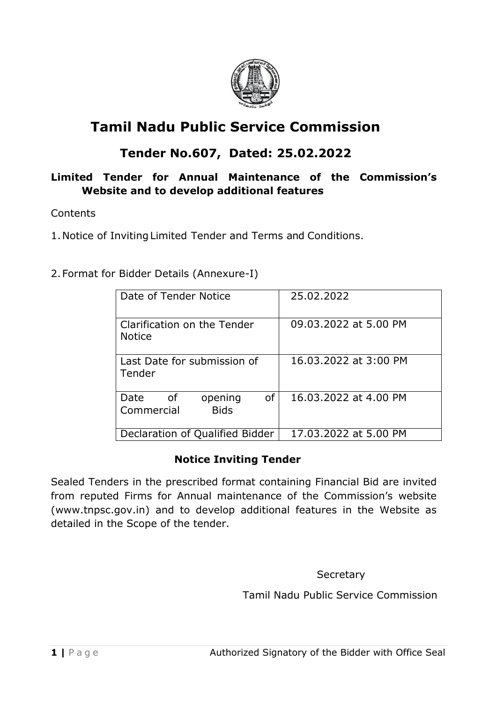

# **Tamil Nadu Public Service Commission**

# **Tender No.607, Dated: 25.02.2022**

### **Limited Tender for Annual Maintenance of the Commission's Website and to develop additional features**

#### **Contents**

1.Notice of InvitingLimited Tender and Terms and Conditions.

2.Format for Bidder Details (Annexure-I)

| Date of Tender Notice                                    | 25.02.2022            |  |
|----------------------------------------------------------|-----------------------|--|
| Clarification on the Tender<br><b>Notice</b>             | 09.03.2022 at 5.00 PM |  |
| Last Date for submission of<br>Tender                    | 16.03.2022 at 3:00 PM |  |
| 0f<br>Date<br>of<br>opening<br><b>Bids</b><br>Commercial | 16.03.2022 at 4.00 PM |  |
| Declaration of Qualified Bidder                          | 17.03.2022 at 5.00 PM |  |

#### **Notice Inviting Tender**

Sealed Tenders in the prescribed format containing Financial Bid are invited from reputed Firms for Annual maintenance of the Commission's website (www.tnpsc.gov.in) and to develop additional features in the Website as detailed in the Scope of the tender.

**Secretary** 

Tamil Nadu Public Service Commission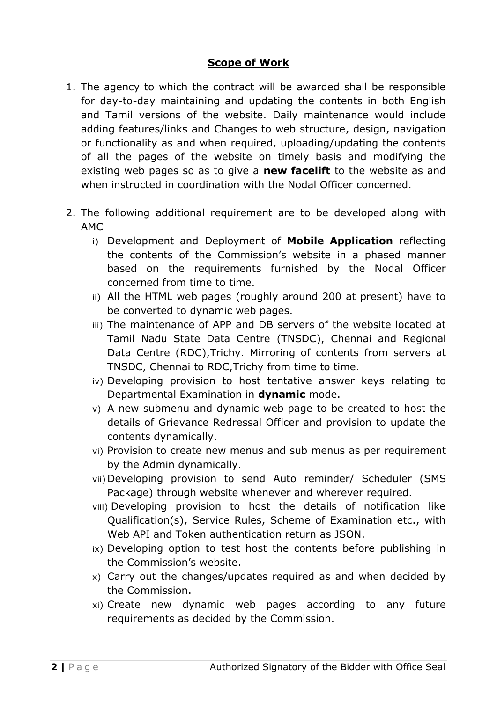#### **Scope of Work**

- 1. The agency to which the contract will be awarded shall be responsible for day-to-day maintaining and updating the contents in both English and Tamil versions of the website. Daily maintenance would include adding features/links and Changes to web structure, design, navigation or functionality as and when required, uploading/updating the contents of all the pages of the website on timely basis and modifying the existing web pages so as to give a **new facelift** to the website as and when instructed in coordination with the Nodal Officer concerned.
- 2. The following additional requirement are to be developed along with AMC
	- i) Development and Deployment of **Mobile Application** reflecting the contents of the Commission's website in a phased manner based on the requirements furnished by the Nodal Officer concerned from time to time.
	- ii) All the HTML web pages (roughly around 200 at present) have to be converted to dynamic web pages.
	- iii) The maintenance of APP and DB servers of the website located at Tamil Nadu State Data Centre (TNSDC), Chennai and Regional Data Centre (RDC),Trichy. Mirroring of contents from servers at TNSDC, Chennai to RDC,Trichy from time to time.
	- iv) Developing provision to host tentative answer keys relating to Departmental Examination in **dynamic** mode.
	- v) A new submenu and dynamic web page to be created to host the details of Grievance Redressal Officer and provision to update the contents dynamically.
	- vi) Provision to create new menus and sub menus as per requirement by the Admin dynamically.
	- vii) Developing provision to send Auto reminder/ Scheduler (SMS Package) through website whenever and wherever required.
	- viii) Developing provision to host the details of notification like Qualification(s), Service Rules, Scheme of Examination etc., with Web API and Token authentication return as JSON.
	- ix) Developing option to test host the contents before publishing in the Commission's website.
	- x) Carry out the changes/updates required as and when decided by the Commission.
	- xi) Create new dynamic web pages according to any future requirements as decided by the Commission.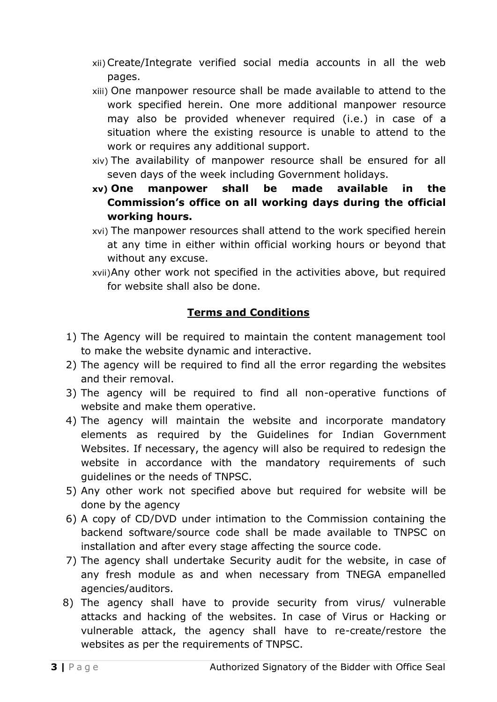- xii)Create/Integrate verified social media accounts in all the web pages.
- xiii) One manpower resource shall be made available to attend to the work specified herein. One more additional manpower resource may also be provided whenever required (i.e.) in case of a situation where the existing resource is unable to attend to the work or requires any additional support.
- xiv) The availability of manpower resource shall be ensured for all seven days of the week including Government holidays.
- **xv) One manpower shall be made available in the Commission's office on all working days during the official working hours.**
- xvi) The manpower resources shall attend to the work specified herein at any time in either within official working hours or beyond that without any excuse.
- xvii)Any other work not specified in the activities above, but required for website shall also be done.

# **Terms and Conditions**

- 1) The Agency will be required to maintain the content management tool to make the website dynamic and interactive.
- 2) The agency will be required to find all the error regarding the websites and their removal.
- 3) The agency will be required to find all non-operative functions of website and make them operative.
- 4) The agency will maintain the website and incorporate mandatory elements as required by the Guidelines for Indian Government Websites. If necessary, the agency will also be required to redesign the website in accordance with the mandatory requirements of such guidelines or the needs of TNPSC.
- 5) Any other work not specified above but required for website will be done by the agency
- 6) A copy of CD/DVD under intimation to the Commission containing the backend software/source code shall be made available to TNPSC on installation and after every stage affecting the source code.
- 7) The agency shall undertake Security audit for the website, in case of any fresh module as and when necessary from TNEGA empanelled agencies/auditors.
- 8) The agency shall have to provide security from virus/ vulnerable attacks and hacking of the websites. In case of Virus or Hacking or vulnerable attack, the agency shall have to re-create/restore the websites as per the requirements of TNPSC.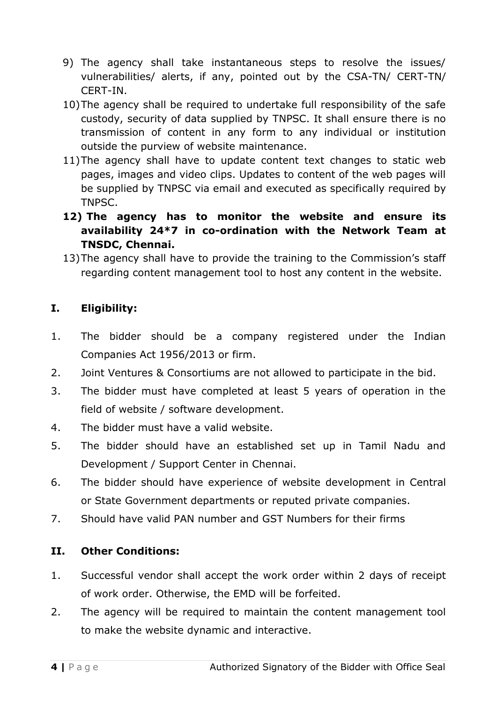- 9) The agency shall take instantaneous steps to resolve the issues/ vulnerabilities/ alerts, if any, pointed out by the CSA-TN/ CERT-TN/ CERT-IN.
- 10)The agency shall be required to undertake full responsibility of the safe custody, security of data supplied by TNPSC. It shall ensure there is no transmission of content in any form to any individual or institution outside the purview of website maintenance.
- 11)The agency shall have to update content text changes to static web pages, images and video clips. Updates to content of the web pages will be supplied by TNPSC via email and executed as specifically required by TNPSC.
- **12) The agency has to monitor the website and ensure its availability 24\*7 in co-ordination with the Network Team at TNSDC, Chennai.**
- 13)The agency shall have to provide the training to the Commission's staff regarding content management tool to host any content in the website.

## **I. Eligibility:**

- 1. The bidder should be a company registered under the Indian Companies Act 1956/2013 or firm.
- 2. Joint Ventures & Consortiums are not allowed to participate in the bid.
- 3. The bidder must have completed at least 5 years of operation in the field of website / software development.
- 4. The bidder must have a valid website.
- 5. The bidder should have an established set up in Tamil Nadu and Development / Support Center in Chennai.
- 6. The bidder should have experience of website development in Central or State Government departments or reputed private companies.
- 7. Should have valid PAN number and GST Numbers for their firms

# **II. Other Conditions:**

- 1. Successful vendor shall accept the work order within 2 days of receipt of work order. Otherwise, the EMD will be forfeited.
- 2. The agency will be required to maintain the content management tool to make the website dynamic and interactive.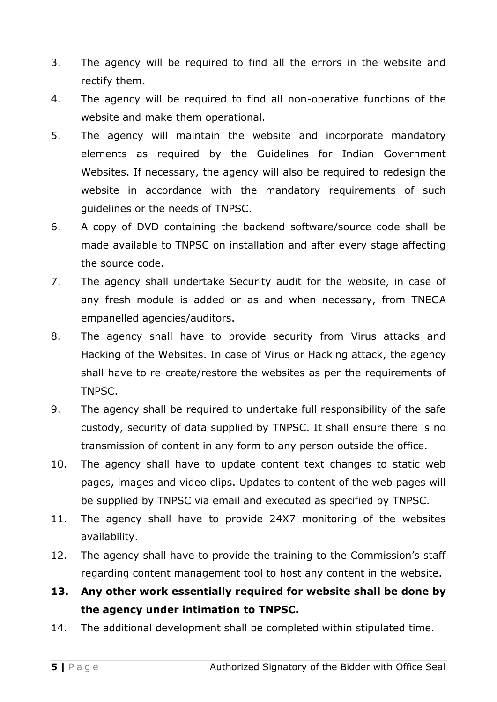- 3. The agency will be required to find all the errors in the website and rectify them.
- 4. The agency will be required to find all non-operative functions of the website and make them operational.
- 5. The agency will maintain the website and incorporate mandatory elements as required by the Guidelines for Indian Government Websites. If necessary, the agency will also be required to redesign the website in accordance with the mandatory requirements of such guidelines or the needs of TNPSC.
- 6. A copy of DVD containing the backend software/source code shall be made available to TNPSC on installation and after every stage affecting the source code.
- 7. The agency shall undertake Security audit for the website, in case of any fresh module is added or as and when necessary, from TNEGA empanelled agencies/auditors.
- 8. The agency shall have to provide security from Virus attacks and Hacking of the Websites. In case of Virus or Hacking attack, the agency shall have to re-create/restore the websites as per the requirements of TNPSC.
- 9. The agency shall be required to undertake full responsibility of the safe custody, security of data supplied by TNPSC. It shall ensure there is no transmission of content in any form to any person outside the office.
- 10. The agency shall have to update content text changes to static web pages, images and video clips. Updates to content of the web pages will be supplied by TNPSC via email and executed as specified by TNPSC.
- 11. The agency shall have to provide 24X7 monitoring of the websites availability.
- 12. The agency shall have to provide the training to the Commission's staff regarding content management tool to host any content in the website.

# **13. Any other work essentially required for website shall be done by the agency under intimation to TNPSC.**

14. The additional development shall be completed within stipulated time.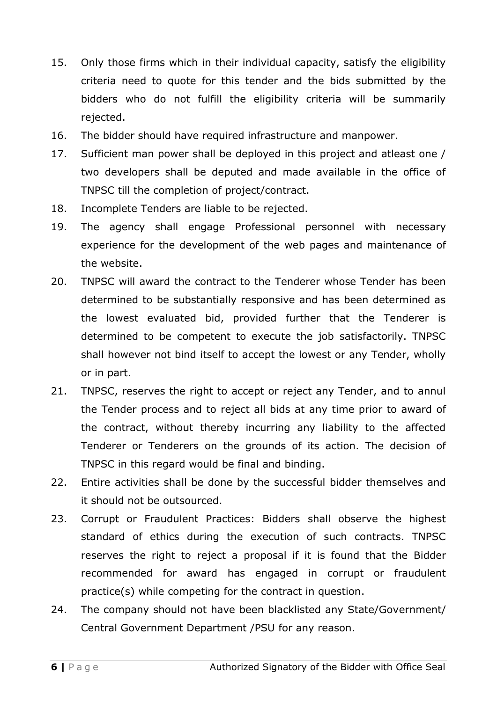- 15. Only those firms which in their individual capacity, satisfy the eligibility criteria need to quote for this tender and the bids submitted by the bidders who do not fulfill the eligibility criteria will be summarily rejected.
- 16. The bidder should have required infrastructure and manpower.
- 17. Sufficient man power shall be deployed in this project and atleast one / two developers shall be deputed and made available in the office of TNPSC till the completion of project/contract.
- 18. Incomplete Tenders are liable to be rejected.
- 19. The agency shall engage Professional personnel with necessary experience for the development of the web pages and maintenance of the website.
- 20. TNPSC will award the contract to the Tenderer whose Tender has been determined to be substantially responsive and has been determined as the lowest evaluated bid, provided further that the Tenderer is determined to be competent to execute the job satisfactorily. TNPSC shall however not bind itself to accept the lowest or any Tender, wholly or in part.
- 21. TNPSC, reserves the right to accept or reject any Tender, and to annul the Tender process and to reject all bids at any time prior to award of the contract, without thereby incurring any liability to the affected Tenderer or Tenderers on the grounds of its action. The decision of TNPSC in this regard would be final and binding.
- 22. Entire activities shall be done by the successful bidder themselves and it should not be outsourced.
- 23. Corrupt or Fraudulent Practices: Bidders shall observe the highest standard of ethics during the execution of such contracts. TNPSC reserves the right to reject a proposal if it is found that the Bidder recommended for award has engaged in corrupt or fraudulent practice(s) while competing for the contract in question.
- 24. The company should not have been blacklisted any State/Government/ Central Government Department /PSU for any reason.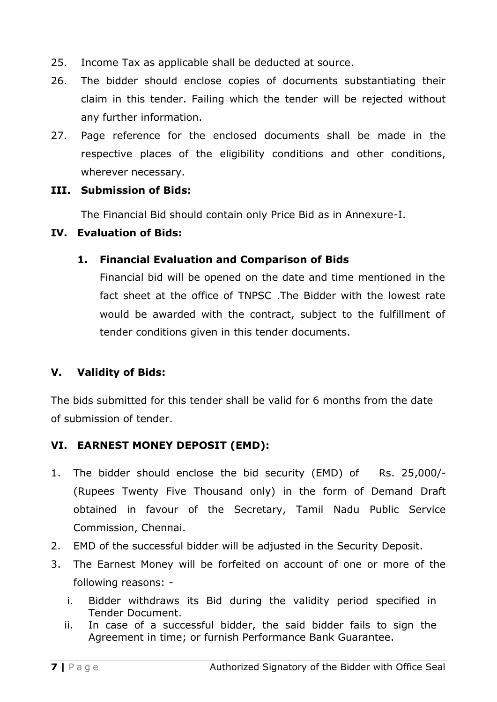- 25. Income Tax as applicable shall be deducted at source.
- 26. The bidder should enclose copies of documents substantiating their claim in this tender. Failing which the tender will be rejected without any further information.
- 27. Page reference for the enclosed documents shall be made in the respective places of the eligibility conditions and other conditions, wherever necessary.

#### **III. Submission of Bids:**

The Financial Bid should contain only Price Bid as in Annexure-I.

#### **IV. Evaluation of Bids:**

#### **1. Financial Evaluation and Comparison of Bids**

Financial bid will be opened on the date and time mentioned in the fact sheet at the office of TNPSC .The Bidder with the lowest rate would be awarded with the contract, subject to the fulfillment of tender conditions given in this tender documents.

#### **V. Validity of Bids:**

The bids submitted for this tender shall be valid for 6 months from the date of submission of tender.

#### **VI. EARNEST MONEY DEPOSIT (EMD):**

- 1. The bidder should enclose the bid security (EMD) of Rs. 25,000/- (Rupees Twenty Five Thousand only) in the form of Demand Draft obtained in favour of the Secretary, Tamil Nadu Public Service Commission, Chennai.
- 2. EMD of the successful bidder will be adjusted in the Security Deposit.
- 3. The Earnest Money will be forfeited on account of one or more of the following reasons:
	- i. Bidder withdraws its Bid during the validity period specified in Tender Document.
	- ii. In case of a successful bidder, the said bidder fails to sign the Agreement in time; or furnish Performance Bank Guarantee.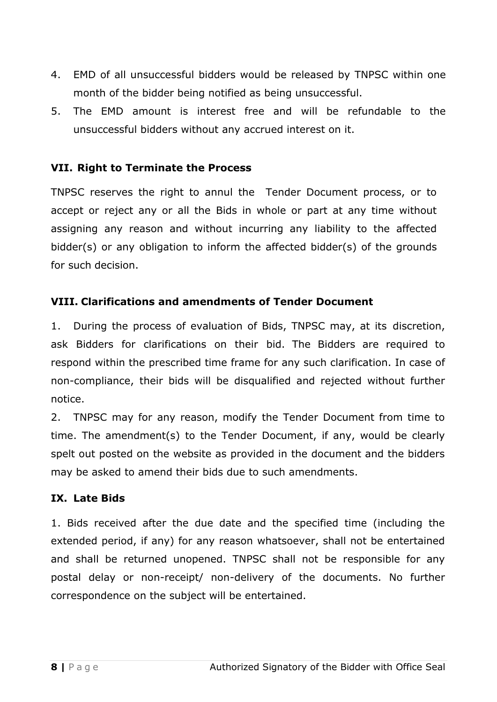- 4. EMD of all unsuccessful bidders would be released by TNPSC within one month of the bidder being notified as being unsuccessful.
- 5. The EMD amount is interest free and will be refundable to the unsuccessful bidders without any accrued interest on it.

#### **VII. Right to Terminate the Process**

TNPSC reserves the right to annul the Tender Document process, or to accept or reject any or all the Bids in whole or part at any time without assigning any reason and without incurring any liability to the affected bidder(s) or any obligation to inform the affected bidder(s) of the grounds for such decision.

#### **VIII. Clarifications and amendments of Tender Document**

1. During the process of evaluation of Bids, TNPSC may, at its discretion, ask Bidders for clarifications on their bid. The Bidders are required to respond within the prescribed time frame for any such clarification. In case of non-compliance, their bids will be disqualified and rejected without further notice.

2. TNPSC may for any reason, modify the Tender Document from time to time. The amendment(s) to the Tender Document, if any, would be clearly spelt out posted on the website as provided in the document and the bidders may be asked to amend their bids due to such amendments.

#### **IX. Late Bids**

1. Bids received after the due date and the specified time (including the extended period, if any) for any reason whatsoever, shall not be entertained and shall be returned unopened. TNPSC shall not be responsible for any postal delay or non-receipt/ non-delivery of the documents. No further correspondence on the subject will be entertained.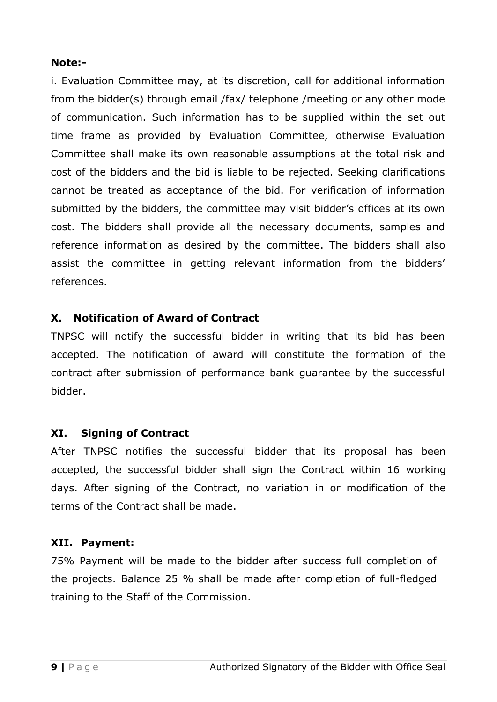#### **Note:-**

i. Evaluation Committee may, at its discretion, call for additional information from the bidder(s) through email /fax/ telephone /meeting or any other mode of communication. Such information has to be supplied within the set out time frame as provided by Evaluation Committee, otherwise Evaluation Committee shall make its own reasonable assumptions at the total risk and cost of the bidders and the bid is liable to be rejected. Seeking clarifications cannot be treated as acceptance of the bid. For verification of information submitted by the bidders, the committee may visit bidder's offices at its own cost. The bidders shall provide all the necessary documents, samples and reference information as desired by the committee. The bidders shall also assist the committee in getting relevant information from the bidders' references.

#### **X. Notification of Award of Contract**

TNPSC will notify the successful bidder in writing that its bid has been accepted. The notification of award will constitute the formation of the contract after submission of performance bank guarantee by the successful bidder.

#### **XI. Signing of Contract**

After TNPSC notifies the successful bidder that its proposal has been accepted, the successful bidder shall sign the Contract within 16 working days. After signing of the Contract, no variation in or modification of the terms of the Contract shall be made.

#### **XII. Payment:**

75% Payment will be made to the bidder after success full completion of the projects. Balance 25 % shall be made after completion of full-fledged training to the Staff of the Commission.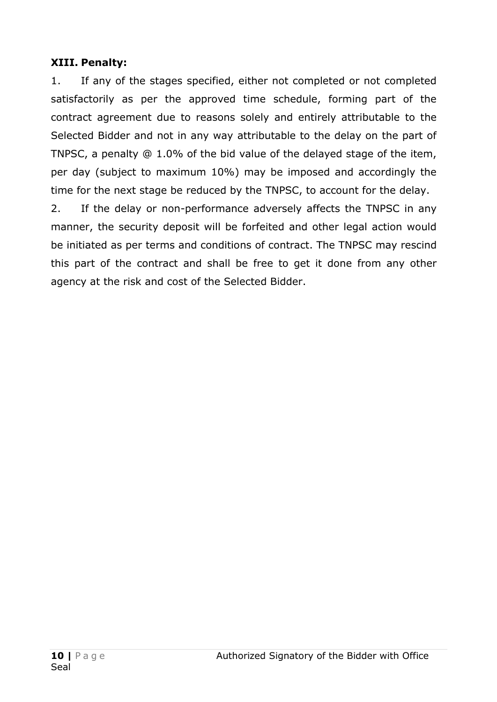### **XIII. Penalty:**

1. If any of the stages specified, either not completed or not completed satisfactorily as per the approved time schedule, forming part of the contract agreement due to reasons solely and entirely attributable to the Selected Bidder and not in any way attributable to the delay on the part of TNPSC, a penalty @ 1.0% of the bid value of the delayed stage of the item, per day (subject to maximum 10%) may be imposed and accordingly the time for the next stage be reduced by the TNPSC, to account for the delay.

2. If the delay or non-performance adversely affects the TNPSC in any manner, the security deposit will be forfeited and other legal action would be initiated as per terms and conditions of contract. The TNPSC may rescind this part of the contract and shall be free to get it done from any other agency at the risk and cost of the Selected Bidder.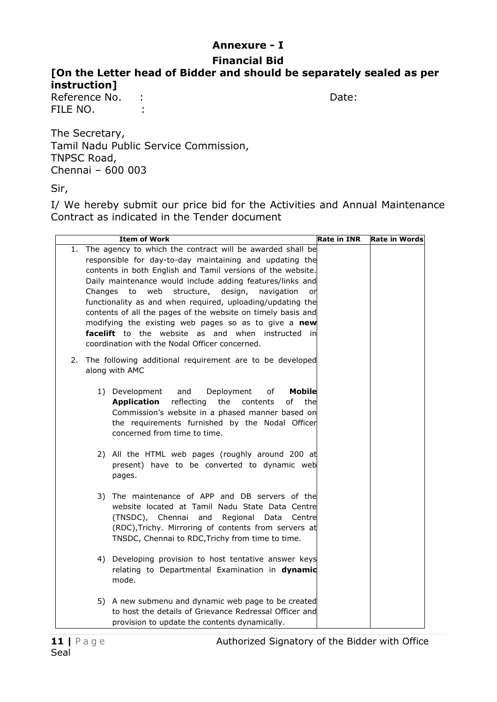# **Annexure - I**

## **Financial Bid**

**[On the Letter head of Bidder and should be separately sealed as per instruction]**

Reference No. : Sanctice School and Date: Date: FILE NO. :

The Secretary, Tamil Nadu Public Service Commission, TNPSC Road, Chennai – 600 003

Sir,

I/ We hereby submit our price bid for the Activities and Annual Maintenance Contract as indicated in the Tender document

|    |                                                                                                                                                                                                                                                                                                                                                                                                                                                                                                                                                                                                               | <b>Item of Work</b>                                                                                                                                                                                                                                                   | <b>Rate in INR</b> | <b>Rate in Words</b> |
|----|---------------------------------------------------------------------------------------------------------------------------------------------------------------------------------------------------------------------------------------------------------------------------------------------------------------------------------------------------------------------------------------------------------------------------------------------------------------------------------------------------------------------------------------------------------------------------------------------------------------|-----------------------------------------------------------------------------------------------------------------------------------------------------------------------------------------------------------------------------------------------------------------------|--------------------|----------------------|
| 1. | The agency to which the contract will be awarded shall be<br>responsible for day-to-day maintaining and updating the<br>contents in both English and Tamil versions of the website.<br>Daily maintenance would include adding features/links and<br>structure, design, navigation<br>Changes to web<br>or<br>functionality as and when required, uploading/updating the<br>contents of all the pages of the website on timely basis and<br>modifying the existing web pages so as to give a new<br><b>facelift</b> to the website as and when instructed in<br>coordination with the Nodal Officer concerned. |                                                                                                                                                                                                                                                                       |                    |                      |
|    |                                                                                                                                                                                                                                                                                                                                                                                                                                                                                                                                                                                                               | 2. The following additional requirement are to be developed<br>along with AMC                                                                                                                                                                                         |                    |                      |
|    |                                                                                                                                                                                                                                                                                                                                                                                                                                                                                                                                                                                                               | 1) Development<br>and<br>Deployment<br>of<br><b>Mobile</b><br><b>Application</b><br>reflecting<br>the<br>οf<br>contents<br>the<br>Commission's website in a phased manner based on<br>the requirements furnished by the Nodal Officer<br>concerned from time to time. |                    |                      |
|    |                                                                                                                                                                                                                                                                                                                                                                                                                                                                                                                                                                                                               | 2) All the HTML web pages (roughly around 200 at<br>present) have to be converted to dynamic web<br>pages.                                                                                                                                                            |                    |                      |
|    |                                                                                                                                                                                                                                                                                                                                                                                                                                                                                                                                                                                                               | 3) The maintenance of APP and DB servers of the<br>website located at Tamil Nadu State Data Centre<br>(TNSDC), Chennai<br>and Regional<br>Data<br>Centrel<br>(RDC), Trichy. Mirroring of contents from servers at<br>TNSDC, Chennai to RDC, Trichy from time to time. |                    |                      |
|    |                                                                                                                                                                                                                                                                                                                                                                                                                                                                                                                                                                                                               | 4) Developing provision to host tentative answer keys<br>relating to Departmental Examination in dynamic<br>mode.                                                                                                                                                     |                    |                      |
|    |                                                                                                                                                                                                                                                                                                                                                                                                                                                                                                                                                                                                               | 5) A new submenu and dynamic web page to be created<br>to host the details of Grievance Redressal Officer and<br>provision to update the contents dynamically.                                                                                                        |                    |                      |